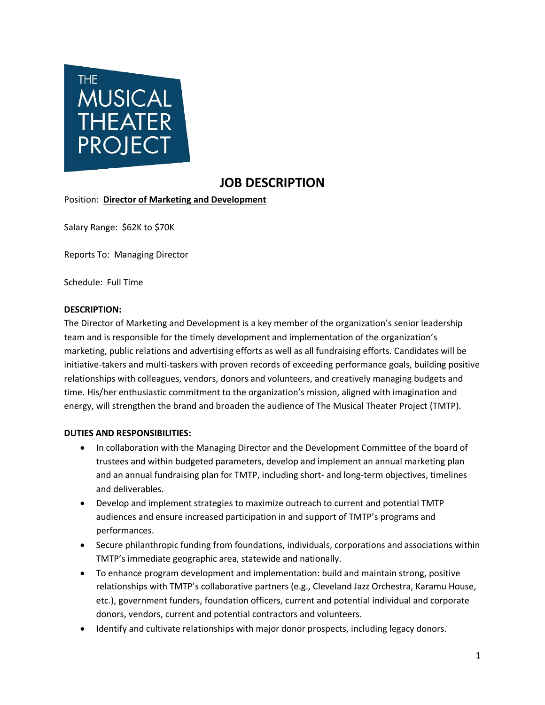

# **JOB DESCRIPTION**

Position: **Director of Marketing and Development**

Salary Range: \$62K to \$70K

Reports To: Managing Director

Schedule: Full Time

#### **DESCRIPTION:**

The Director of Marketing and Development is a key member of the organization's senior leadership team and is responsible for the timely development and implementation of the organization's marketing, public relations and advertising efforts as well as all fundraising efforts. Candidates will be initiative-takers and multi-taskers with proven records of exceeding performance goals, building positive relationships with colleagues, vendors, donors and volunteers, and creatively managing budgets and time. His/her enthusiastic commitment to the organization's mission, aligned with imagination and energy, will strengthen the brand and broaden the audience of The Musical Theater Project (TMTP).

### **DUTIES AND RESPONSIBILITIES:**

- In collaboration with the Managing Director and the Development Committee of the board of trustees and within budgeted parameters, develop and implement an annual marketing plan and an annual fundraising plan for TMTP, including short- and long-term objectives, timelines and deliverables.
- Develop and implement strategies to maximize outreach to current and potential TMTP audiences and ensure increased participation in and support of TMTP's programs and performances.
- Secure philanthropic funding from foundations, individuals, corporations and associations within TMTP's immediate geographic area, statewide and nationally.
- To enhance program development and implementation: build and maintain strong, positive relationships with TMTP's collaborative partners (e.g., Cleveland Jazz Orchestra, Karamu House, etc.), government funders, foundation officers, current and potential individual and corporate donors, vendors, current and potential contractors and volunteers.
- Identify and cultivate relationships with major donor prospects, including legacy donors.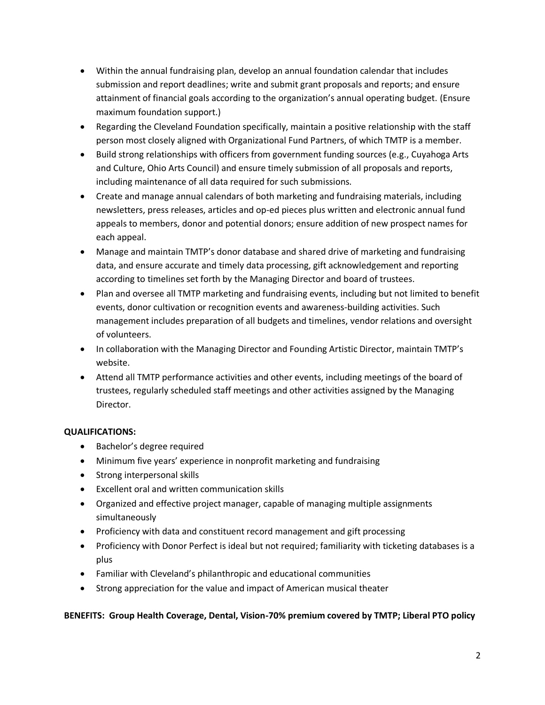- Within the annual fundraising plan, develop an annual foundation calendar that includes submission and report deadlines; write and submit grant proposals and reports; and ensure attainment of financial goals according to the organization's annual operating budget. (Ensure maximum foundation support.)
- Regarding the Cleveland Foundation specifically, maintain a positive relationship with the staff person most closely aligned with Organizational Fund Partners, of which TMTP is a member.
- Build strong relationships with officers from government funding sources (e.g., Cuyahoga Arts and Culture, Ohio Arts Council) and ensure timely submission of all proposals and reports, including maintenance of all data required for such submissions.
- Create and manage annual calendars of both marketing and fundraising materials, including newsletters, press releases, articles and op-ed pieces plus written and electronic annual fund appeals to members, donor and potential donors; ensure addition of new prospect names for each appeal.
- Manage and maintain TMTP's donor database and shared drive of marketing and fundraising data, and ensure accurate and timely data processing, gift acknowledgement and reporting according to timelines set forth by the Managing Director and board of trustees.
- Plan and oversee all TMTP marketing and fundraising events, including but not limited to benefit events, donor cultivation or recognition events and awareness-building activities. Such management includes preparation of all budgets and timelines, vendor relations and oversight of volunteers.
- In collaboration with the Managing Director and Founding Artistic Director, maintain TMTP's website.
- Attend all TMTP performance activities and other events, including meetings of the board of trustees, regularly scheduled staff meetings and other activities assigned by the Managing Director.

## **QUALIFICATIONS:**

- Bachelor's degree required
- Minimum five years' experience in nonprofit marketing and fundraising
- Strong interpersonal skills
- Excellent oral and written communication skills
- Organized and effective project manager, capable of managing multiple assignments simultaneously
- Proficiency with data and constituent record management and gift processing
- Proficiency with Donor Perfect is ideal but not required; familiarity with ticketing databases is a plus
- Familiar with Cleveland's philanthropic and educational communities
- Strong appreciation for the value and impact of American musical theater

## **BENEFITS: Group Health Coverage, Dental, Vision-70% premium covered by TMTP; Liberal PTO policy**